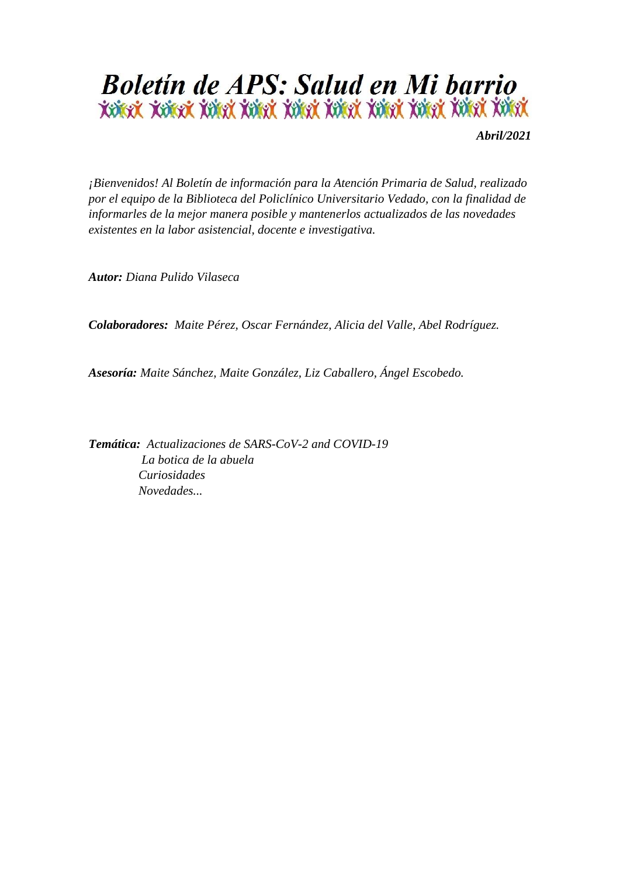

*Abril/2021*

*¡Bienvenidos! Al Boletín de información para la Atención Primaria de Salud, realizado por el equipo de la Biblioteca del Policlínico Universitario Vedado, con la finalidad de informarles de la mejor manera posible y mantenerlos actualizados de las novedades existentes en la labor asistencial, docente e investigativa.*

*Autor: Diana Pulido Vilaseca* 

*Colaboradores: Maite Pérez, Oscar Fernández, Alicia del Valle, Abel Rodríguez.* 

*Asesoría: Maite Sánchez, Maite González, Liz Caballero, Ángel Escobedo.*

*Temática: Actualizaciones de SARS-CoV-2 and COVID-19 La botica de la abuela Curiosidades Novedades...*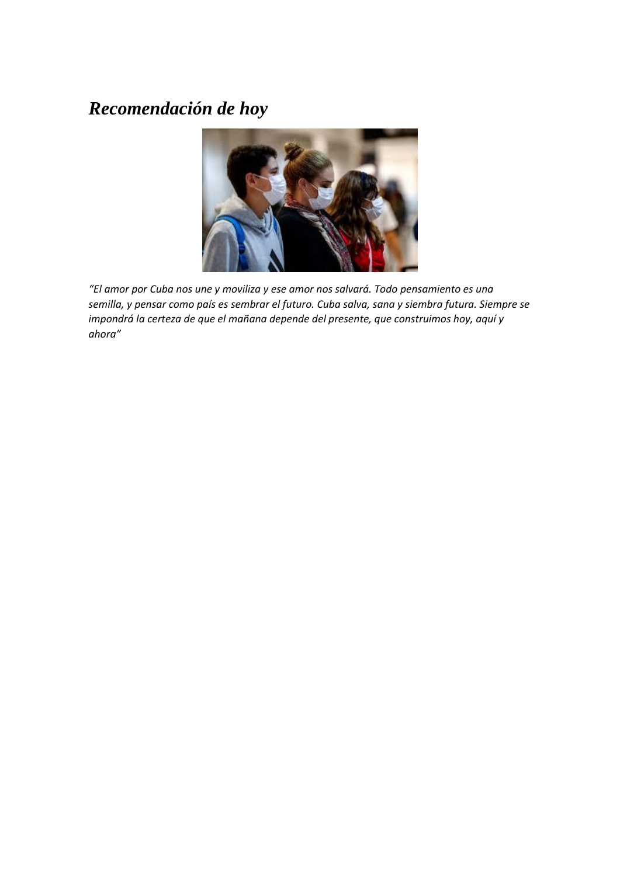## *Recomendación de hoy*



*"El amor por Cuba nos une y moviliza y ese amor nos salvará. Todo pensamiento es una semilla, y pensar como país es sembrar el futuro. Cuba salva, sana y siembra futura. Siempre se impondrá la certeza de que el mañana depende del presente, que construimos hoy, aquí y ahora"*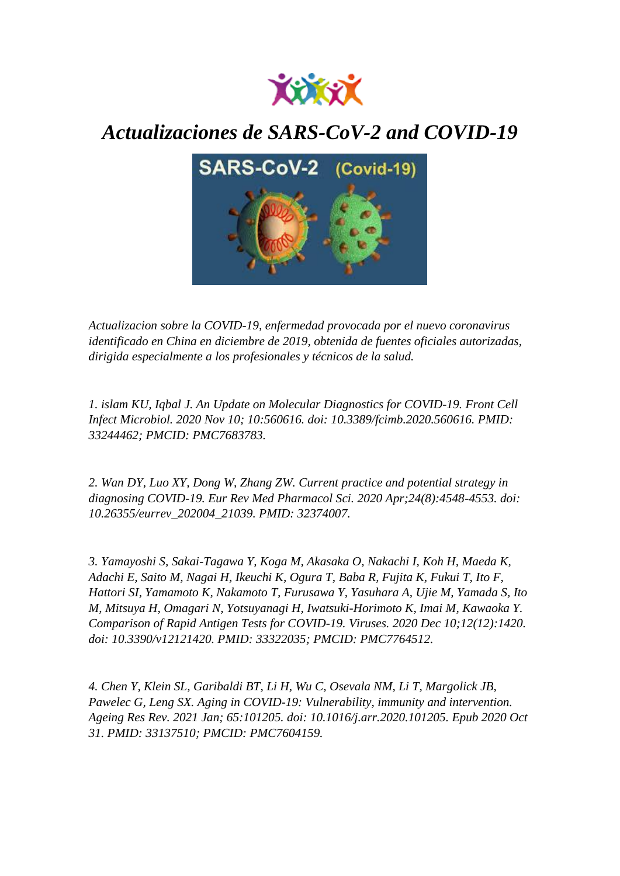

## *Actualizaciones de SARS-CoV-2 and COVID-19*



*Actualizacion sobre la COVID-19, enfermedad provocada por el nuevo coronavirus identificado en China en diciembre de 2019, obtenida de fuentes oficiales autorizadas, dirigida especialmente a los profesionales y técnicos de la salud.*

*1. islam KU, Iqbal J. An Update on Molecular Diagnostics for COVID-19. Front Cell Infect Microbiol. 2020 Nov 10; 10:560616. doi: 10.3389/fcimb.2020.560616. PMID: 33244462; PMCID: PMC7683783.*

*2. Wan DY, Luo XY, Dong W, Zhang ZW. Current practice and potential strategy in diagnosing COVID-19. Eur Rev Med Pharmacol Sci. 2020 Apr;24(8):4548-4553. doi: 10.26355/eurrev\_202004\_21039. PMID: 32374007.*

*3. Yamayoshi S, Sakai-Tagawa Y, Koga M, Akasaka O, Nakachi I, Koh H, Maeda K, Adachi E, Saito M, Nagai H, Ikeuchi K, Ogura T, Baba R, Fujita K, Fukui T, Ito F, Hattori SI, Yamamoto K, Nakamoto T, Furusawa Y, Yasuhara A, Ujie M, Yamada S, Ito M, Mitsuya H, Omagari N, Yotsuyanagi H, Iwatsuki-Horimoto K, Imai M, Kawaoka Y. Comparison of Rapid Antigen Tests for COVID-19. Viruses. 2020 Dec 10;12(12):1420. doi: 10.3390/v12121420. PMID: 33322035; PMCID: PMC7764512.*

*4. Chen Y, Klein SL, Garibaldi BT, Li H, Wu C, Osevala NM, Li T, Margolick JB, Pawelec G, Leng SX. Aging in COVID-19: Vulnerability, immunity and intervention. Ageing Res Rev. 2021 Jan; 65:101205. doi: 10.1016/j.arr.2020.101205. Epub 2020 Oct 31. PMID: 33137510; PMCID: PMC7604159.*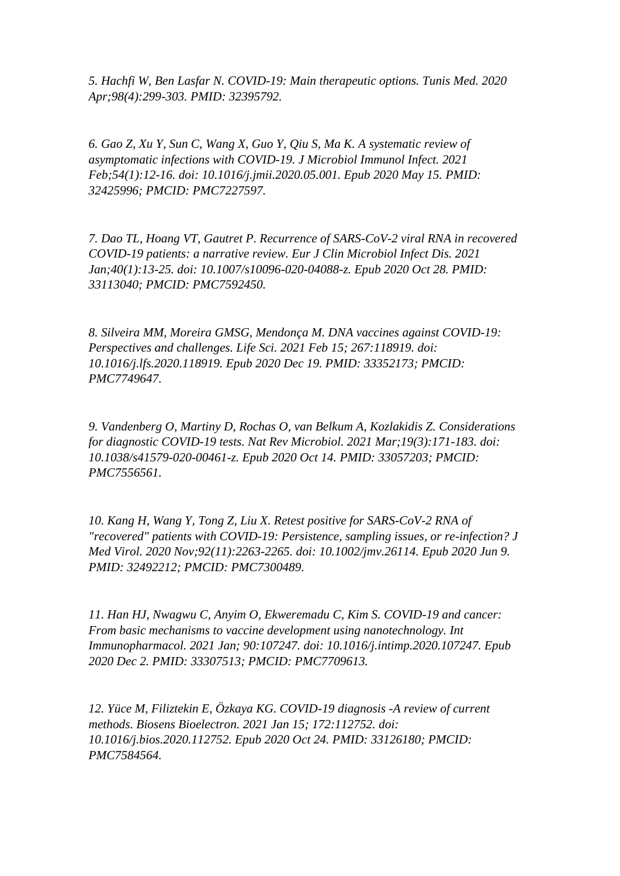*5. Hachfi W, Ben Lasfar N. COVID-19: Main therapeutic options. Tunis Med. 2020 Apr;98(4):299-303. PMID: 32395792.*

*6. Gao Z, Xu Y, Sun C, Wang X, Guo Y, Qiu S, Ma K. A systematic review of asymptomatic infections with COVID-19. J Microbiol Immunol Infect. 2021 Feb;54(1):12-16. doi: 10.1016/j.jmii.2020.05.001. Epub 2020 May 15. PMID: 32425996; PMCID: PMC7227597.*

*7. Dao TL, Hoang VT, Gautret P. Recurrence of SARS-CoV-2 viral RNA in recovered COVID-19 patients: a narrative review. Eur J Clin Microbiol Infect Dis. 2021 Jan;40(1):13-25. doi: 10.1007/s10096-020-04088-z. Epub 2020 Oct 28. PMID: 33113040; PMCID: PMC7592450.*

*8. Silveira MM, Moreira GMSG, Mendonça M. DNA vaccines against COVID-19: Perspectives and challenges. Life Sci. 2021 Feb 15; 267:118919. doi: 10.1016/j.lfs.2020.118919. Epub 2020 Dec 19. PMID: 33352173; PMCID: PMC7749647.*

*9. Vandenberg O, Martiny D, Rochas O, van Belkum A, Kozlakidis Z. Considerations for diagnostic COVID-19 tests. Nat Rev Microbiol. 2021 Mar;19(3):171-183. doi: 10.1038/s41579-020-00461-z. Epub 2020 Oct 14. PMID: 33057203; PMCID: PMC7556561.*

*10. Kang H, Wang Y, Tong Z, Liu X. Retest positive for SARS-CoV-2 RNA of "recovered" patients with COVID-19: Persistence, sampling issues, or re-infection? J Med Virol. 2020 Nov;92(11):2263-2265. doi: 10.1002/jmv.26114. Epub 2020 Jun 9. PMID: 32492212; PMCID: PMC7300489.*

*11. Han HJ, Nwagwu C, Anyim O, Ekweremadu C, Kim S. COVID-19 and cancer: From basic mechanisms to vaccine development using nanotechnology. Int Immunopharmacol. 2021 Jan; 90:107247. doi: 10.1016/j.intimp.2020.107247. Epub 2020 Dec 2. PMID: 33307513; PMCID: PMC7709613.*

*12. Yüce M, Filiztekin E, Özkaya KG. COVID-19 diagnosis -A review of current methods. Biosens Bioelectron. 2021 Jan 15; 172:112752. doi: 10.1016/j.bios.2020.112752. Epub 2020 Oct 24. PMID: 33126180; PMCID: PMC7584564.*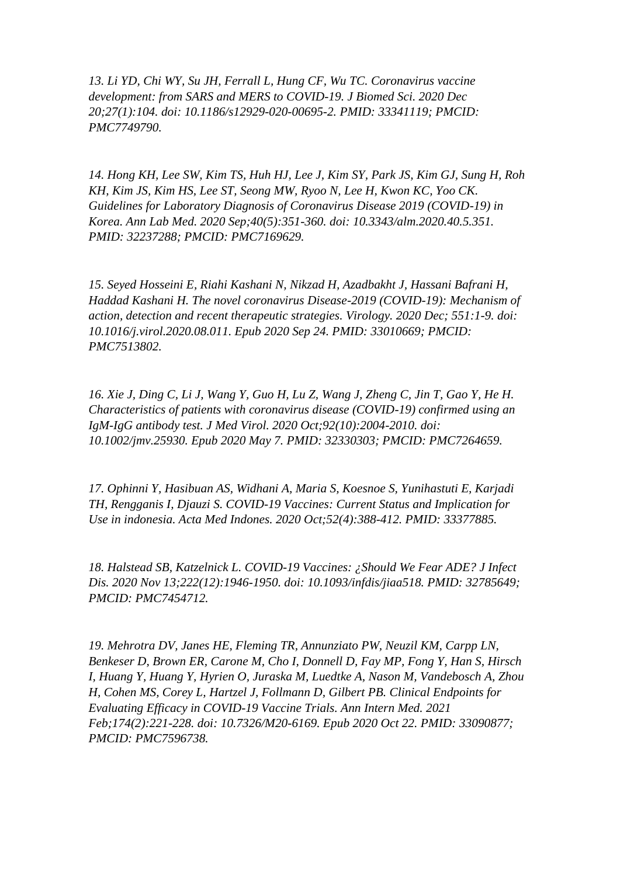*13. Li YD, Chi WY, Su JH, Ferrall L, Hung CF, Wu TC. Coronavirus vaccine development: from SARS and MERS to COVID-19. J Biomed Sci. 2020 Dec 20;27(1):104. doi: 10.1186/s12929-020-00695-2. PMID: 33341119; PMCID: PMC7749790.*

*14. Hong KH, Lee SW, Kim TS, Huh HJ, Lee J, Kim SY, Park JS, Kim GJ, Sung H, Roh KH, Kim JS, Kim HS, Lee ST, Seong MW, Ryoo N, Lee H, Kwon KC, Yoo CK. Guidelines for Laboratory Diagnosis of Coronavirus Disease 2019 (COVID-19) in Korea. Ann Lab Med. 2020 Sep;40(5):351-360. doi: 10.3343/alm.2020.40.5.351. PMID: 32237288; PMCID: PMC7169629.*

*15. Seyed Hosseini E, Riahi Kashani N, Nikzad H, Azadbakht J, Hassani Bafrani H, Haddad Kashani H. The novel coronavirus Disease-2019 (COVID-19): Mechanism of action, detection and recent therapeutic strategies. Virology. 2020 Dec; 551:1-9. doi: 10.1016/j.virol.2020.08.011. Epub 2020 Sep 24. PMID: 33010669; PMCID: PMC7513802.*

*16. Xie J, Ding C, Li J, Wang Y, Guo H, Lu Z, Wang J, Zheng C, Jin T, Gao Y, He H. Characteristics of patients with coronavirus disease (COVID-19) confirmed using an IgM-IgG antibody test. J Med Virol. 2020 Oct;92(10):2004-2010. doi: 10.1002/jmv.25930. Epub 2020 May 7. PMID: 32330303; PMCID: PMC7264659.*

*17. Ophinni Y, Hasibuan AS, Widhani A, Maria S, Koesnoe S, Yunihastuti E, Karjadi TH, Rengganis I, Djauzi S. COVID-19 Vaccines: Current Status and Implication for Use in indonesia. Acta Med Indones. 2020 Oct;52(4):388-412. PMID: 33377885.*

*18. Halstead SB, Katzelnick L. COVID-19 Vaccines: ¿Should We Fear ADE? J Infect Dis. 2020 Nov 13;222(12):1946-1950. doi: 10.1093/infdis/jiaa518. PMID: 32785649; PMCID: PMC7454712.*

*19. Mehrotra DV, Janes HE, Fleming TR, Annunziato PW, Neuzil KM, Carpp LN, Benkeser D, Brown ER, Carone M, Cho I, Donnell D, Fay MP, Fong Y, Han S, Hirsch I, Huang Y, Huang Y, Hyrien O, Juraska M, Luedtke A, Nason M, Vandebosch A, Zhou H, Cohen MS, Corey L, Hartzel J, Follmann D, Gilbert PB. Clinical Endpoints for Evaluating Efficacy in COVID-19 Vaccine Trials. Ann Intern Med. 2021 Feb;174(2):221-228. doi: 10.7326/M20-6169. Epub 2020 Oct 22. PMID: 33090877; PMCID: PMC7596738.*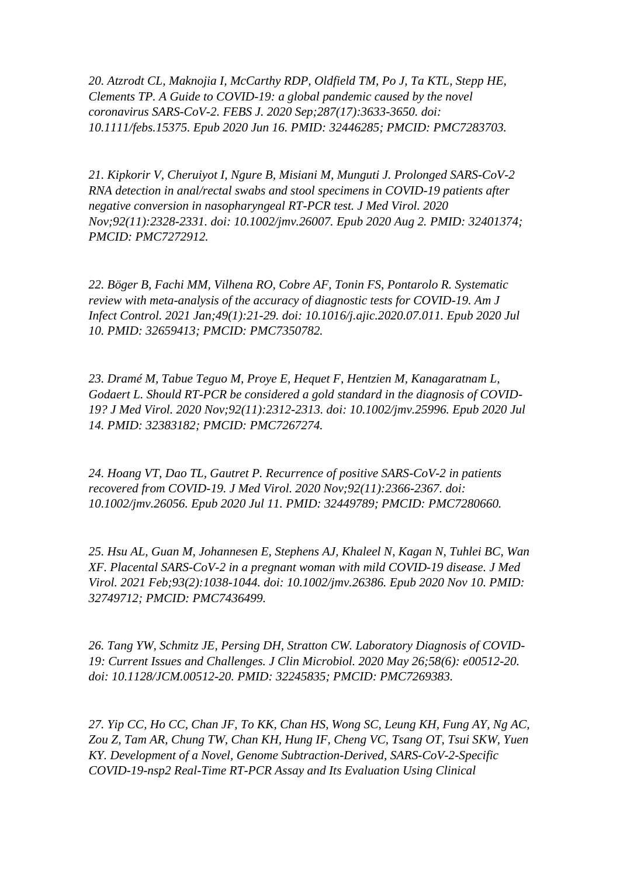*20. Atzrodt CL, Maknojia I, McCarthy RDP, Oldfield TM, Po J, Ta KTL, Stepp HE, Clements TP. A Guide to COVID-19: a global pandemic caused by the novel coronavirus SARS-CoV-2. FEBS J. 2020 Sep;287(17):3633-3650. doi: 10.1111/febs.15375. Epub 2020 Jun 16. PMID: 32446285; PMCID: PMC7283703.*

*21. Kipkorir V, Cheruiyot I, Ngure B, Misiani M, Munguti J. Prolonged SARS-CoV-2 RNA detection in anal/rectal swabs and stool specimens in COVID-19 patients after negative conversion in nasopharyngeal RT-PCR test. J Med Virol. 2020 Nov;92(11):2328-2331. doi: 10.1002/jmv.26007. Epub 2020 Aug 2. PMID: 32401374; PMCID: PMC7272912.*

*22. Böger B, Fachi MM, Vilhena RO, Cobre AF, Tonin FS, Pontarolo R. Systematic review with meta-analysis of the accuracy of diagnostic tests for COVID-19. Am J Infect Control. 2021 Jan;49(1):21-29. doi: 10.1016/j.ajic.2020.07.011. Epub 2020 Jul 10. PMID: 32659413; PMCID: PMC7350782.*

*23. Dramé M, Tabue Teguo M, Proye E, Hequet F, Hentzien M, Kanagaratnam L, Godaert L. Should RT-PCR be considered a gold standard in the diagnosis of COVID-19? J Med Virol. 2020 Nov;92(11):2312-2313. doi: 10.1002/jmv.25996. Epub 2020 Jul 14. PMID: 32383182; PMCID: PMC7267274.*

*24. Hoang VT, Dao TL, Gautret P. Recurrence of positive SARS-CoV-2 in patients recovered from COVID-19. J Med Virol. 2020 Nov;92(11):2366-2367. doi: 10.1002/jmv.26056. Epub 2020 Jul 11. PMID: 32449789; PMCID: PMC7280660.*

*25. Hsu AL, Guan M, Johannesen E, Stephens AJ, Khaleel N, Kagan N, Tuhlei BC, Wan XF. Placental SARS-CoV-2 in a pregnant woman with mild COVID-19 disease. J Med Virol. 2021 Feb;93(2):1038-1044. doi: 10.1002/jmv.26386. Epub 2020 Nov 10. PMID: 32749712; PMCID: PMC7436499.*

*26. Tang YW, Schmitz JE, Persing DH, Stratton CW. Laboratory Diagnosis of COVID-19: Current Issues and Challenges. J Clin Microbiol. 2020 May 26;58(6): e00512-20. doi: 10.1128/JCM.00512-20. PMID: 32245835; PMCID: PMC7269383.*

*27. Yip CC, Ho CC, Chan JF, To KK, Chan HS, Wong SC, Leung KH, Fung AY, Ng AC, Zou Z, Tam AR, Chung TW, Chan KH, Hung IF, Cheng VC, Tsang OT, Tsui SKW, Yuen KY. Development of a Novel, Genome Subtraction-Derived, SARS-CoV-2-Specific COVID-19-nsp2 Real-Time RT-PCR Assay and Its Evaluation Using Clinical*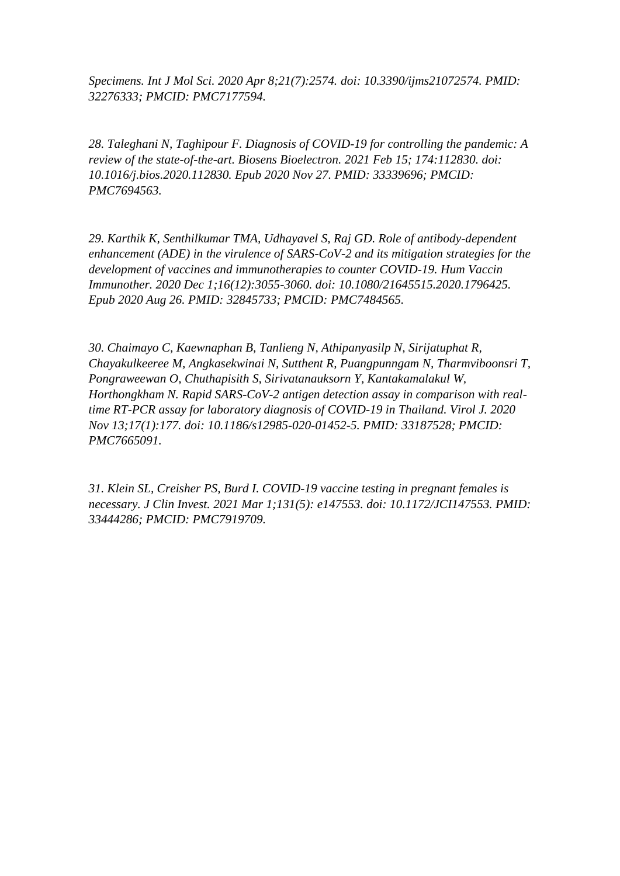*Specimens. Int J Mol Sci. 2020 Apr 8;21(7):2574. doi: 10.3390/ijms21072574. PMID: 32276333; PMCID: PMC7177594.*

*28. Taleghani N, Taghipour F. Diagnosis of COVID-19 for controlling the pandemic: A review of the state-of-the-art. Biosens Bioelectron. 2021 Feb 15; 174:112830. doi: 10.1016/j.bios.2020.112830. Epub 2020 Nov 27. PMID: 33339696; PMCID: PMC7694563.*

*29. Karthik K, Senthilkumar TMA, Udhayavel S, Raj GD. Role of antibody-dependent enhancement (ADE) in the virulence of SARS-CoV-2 and its mitigation strategies for the development of vaccines and immunotherapies to counter COVID-19. Hum Vaccin Immunother. 2020 Dec 1;16(12):3055-3060. doi: 10.1080/21645515.2020.1796425. Epub 2020 Aug 26. PMID: 32845733; PMCID: PMC7484565.*

*30. Chaimayo C, Kaewnaphan B, Tanlieng N, Athipanyasilp N, Sirijatuphat R, Chayakulkeeree M, Angkasekwinai N, Sutthent R, Puangpunngam N, Tharmviboonsri T, Pongraweewan O, Chuthapisith S, Sirivatanauksorn Y, Kantakamalakul W, Horthongkham N. Rapid SARS-CoV-2 antigen detection assay in comparison with realtime RT-PCR assay for laboratory diagnosis of COVID-19 in Thailand. Virol J. 2020 Nov 13;17(1):177. doi: 10.1186/s12985-020-01452-5. PMID: 33187528; PMCID: PMC7665091.*

*31. Klein SL, Creisher PS, Burd I. COVID-19 vaccine testing in pregnant females is necessary. J Clin Invest. 2021 Mar 1;131(5): e147553. doi: 10.1172/JCI147553. PMID: 33444286; PMCID: PMC7919709.*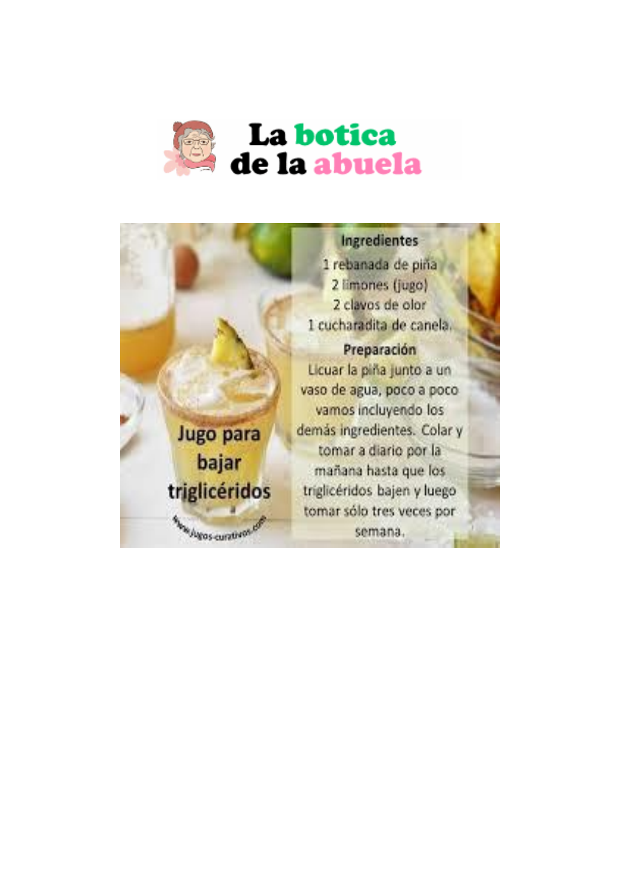

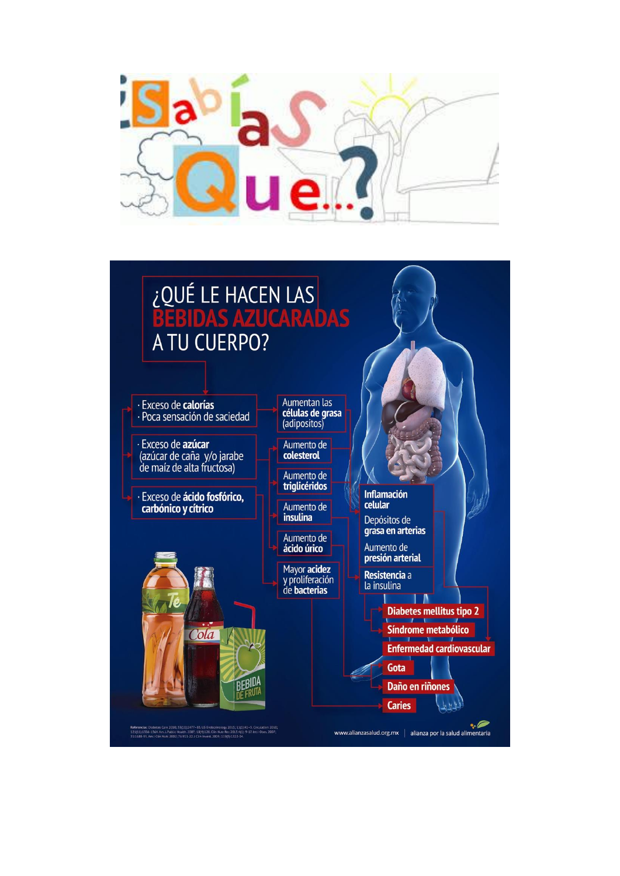

## ZOUÉ LE HACEN LAS A TU CUERPO?

· Exceso de calorías · Poca sensación de saciedad

· Exceso de **azúcar**<br>(azúcar de caña y/o jarabe<br>de maíz de alta fructosa)

· Exceso de **ácido fosfórico,**<br>carbónico y cítrico



Aumentan las células de grasa<br>(adipositos)

Aumento de<br>colesterol

Aumento de<br>triglicéridos

Aumento de **insulina** 

Aumento de<br>ácido úrico

Mayor acidez y proliferación<br>de **bacterias**  Inflamación<br>celular Depósitos de

grasa en arterias

Aumento de<br>**presión arterial** Resistencia a

la insulina

Gota

**Caries** 

**Diabetes mellitus tipo 2** 

Síndrome metabólico

**Enfermedad cardiovascular** 

Daño en riñones

www.alianzasalud.org.mx | alianza por la salud alimentaria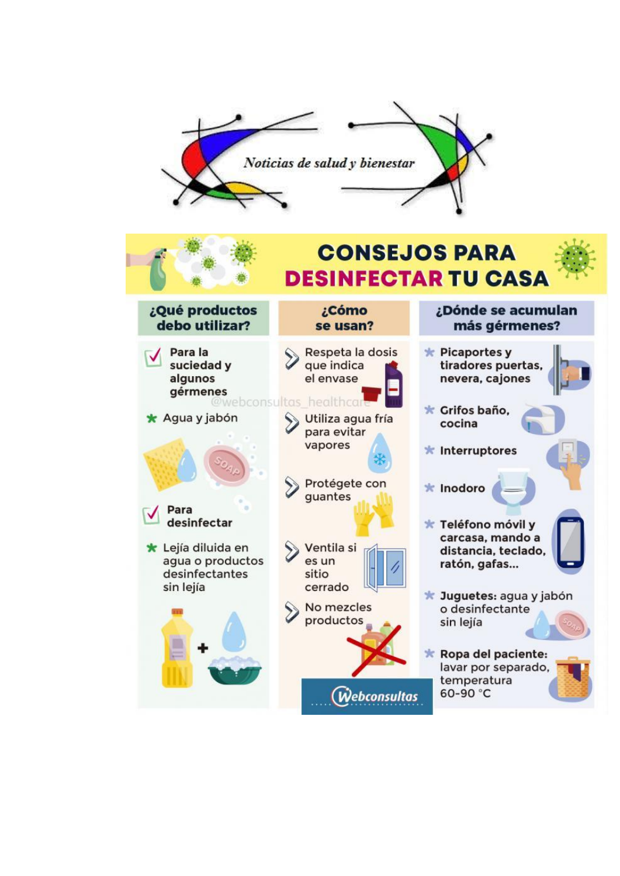